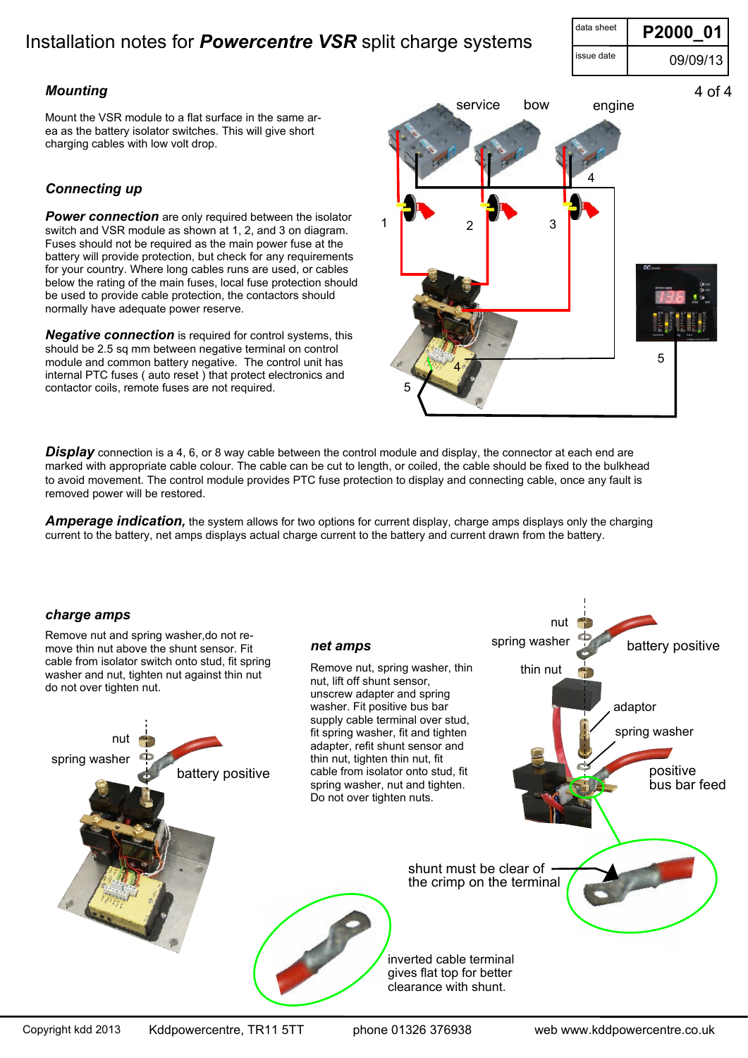# Copyright kdd 2013 Kddpowercentre, TR11 5TT phone 01326 376938 web www.kddpowercentre.co.uk

# Installation notes for **Powercentre VSR** split charge systems

## *Mounting*

Mount the VSR module to a flat surface in the same area as the battery isolator switches. This will give short charging cables with low volt drop.

# *Connecting up*

**Power connection** are only required between the isolator switch and VSR module as shown at 1, 2, and 3 on diagram. Fuses should not be required as the main power fuse at the battery will provide protection, but check for any requirements for your country. Where long cables runs are used, or cables below the rating of the main fuses, local fuse protection should be used to provide cable protection, the contactors should normally have adequate power reserve.

*Negative connection* is required for control systems, this should be 2.5 sq mm between negative terminal on control module and common battery negative. The control unit has internal PTC fuses ( auto reset ) that protect electronics and contactor coils, remote fuses are not required.

**Display** connection is a 4, 6, or 8 way cable between the control module and display, the connector at each end are marked with appropriate cable colour. The cable can be cut to length, or coiled, the cable should be fixed to the bulkhead to avoid movement. The control module provides PTC fuse protection to display and connecting cable, once any fault is removed power will be restored.

*Amperage indication,* the system allows for two options for current display, charge amps displays only the charging current to the battery, net amps displays actual charge current to the battery and current drawn from the battery.

#### *charge amps*

Remove nut and spring washer,do not remove thin nut above the shunt sensor. Fit cable from isolator switch onto stud, fit spring washer and nut, tighten nut against thin nut do not over tighten nut.

battery positive nut spring washer fit spring washer, fit and tighten adapter, refit shunt sensor and thin nut, tighten thin nut, fit cable from isolator onto stud, fit spring washer, nut and tighten. Do not over tighten nuts.



nut



| data sheet | P2000<br>01 |
|------------|-------------|
| issue date | 09/09/13    |